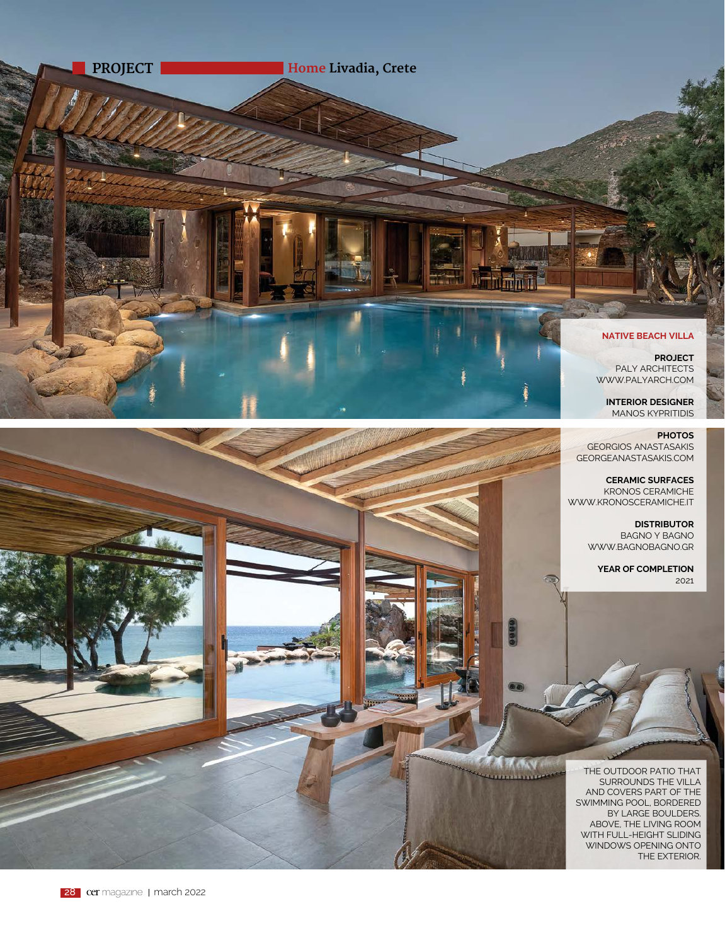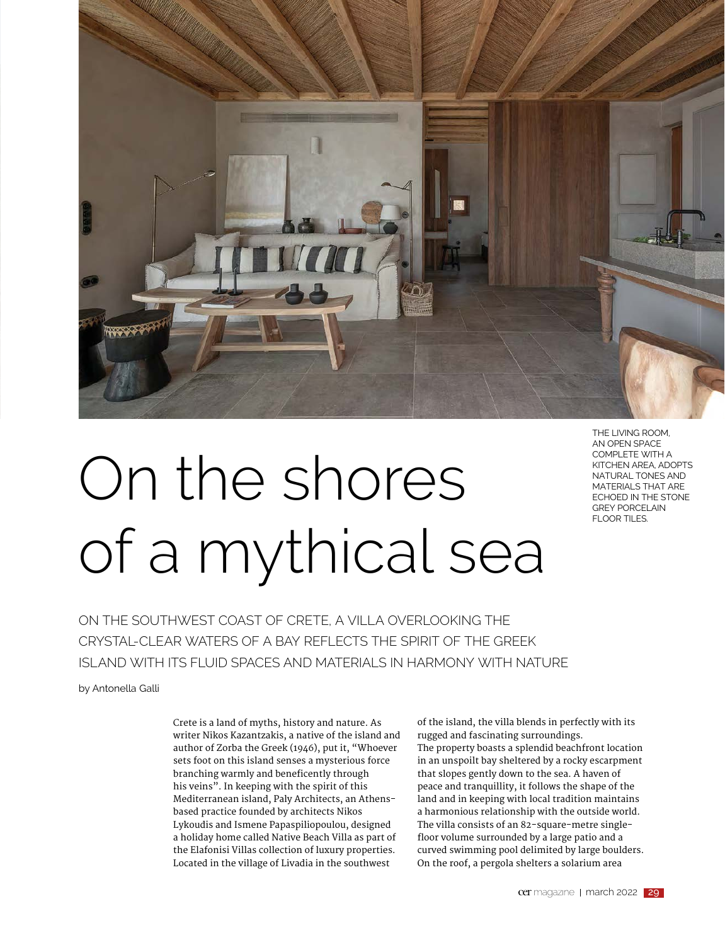

## On the shores of a mythical sea

THE LIVING ROOM, AN OPEN SPACE COMPLETE WITH A KITCHEN AREA, ADOPTS NATURAL TONES AND MATERIALS THAT ARE ECHOED IN THE STONE GREY PORCELAIN FLOOR TILES.

ON THE SOUTHWEST COAST OF CRETE, A VILLA OVERLOOKING THE CRYSTAL-CLEAR WATERS OF A BAY REFLECTS THE SPIRIT OF THE GREEK ISLAND WITH ITS FLUID SPACES AND MATERIALS IN HARMONY WITH NATURE

by Antonella Galli

Crete is a land of myths, history and nature. As writer Nikos Kazantzakis, a native of the island and author of Zorba the Greek (1946), put it, "Whoever sets foot on this island senses a mysterious force branching warmly and beneficently through his veins". In keeping with the spirit of this Mediterranean island, Paly Architects, an Athensbased practice founded by architects Nikos Lykoudis and Ismene Papaspiliopoulou, designed a holiday home called Native Beach Villa as part of the Elafonisi Villas collection of luxury properties. Located in the village of Livadia in the southwest

of the island, the villa blends in perfectly with its rugged and fascinating surroundings. The property boasts a splendid beachfront location in an unspoilt bay sheltered by a rocky escarpment that slopes gently down to the sea. A haven of peace and tranquillity, it follows the shape of the land and in keeping with local tradition maintains a harmonious relationship with the outside world. The villa consists of an 82-square-metre singlefloor volume surrounded by a large patio and a curved swimming pool delimited by large boulders. On the roof, a pergola shelters a solarium area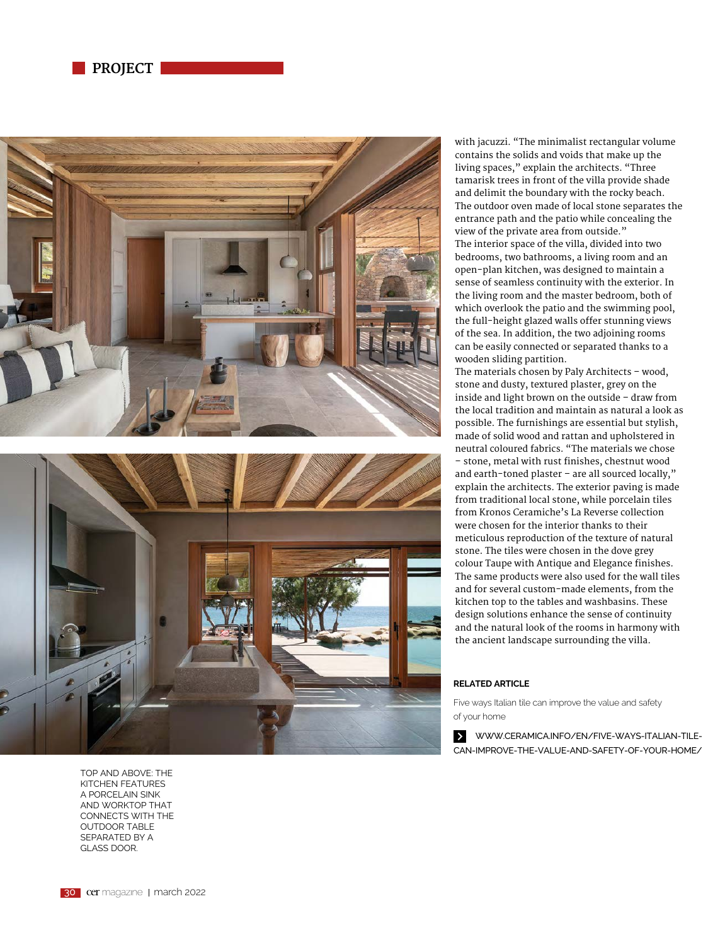





TOP AND ABOVE: THE KITCHEN FEATURES A PORCELAIN SINK AND WORKTOP THAT CONNECTS WITH THE OUTDOOR TABLE SEPARATED BY A GLASS DOOR.

with jacuzzi. "The minimalist rectangular volume contains the solids and voids that make up the living spaces," explain the architects. "Three tamarisk trees in front of the villa provide shade and delimit the boundary with the rocky beach. The outdoor oven made of local stone separates the entrance path and the patio while concealing the view of the private area from outside." The interior space of the villa, divided into two bedrooms, two bathrooms, a living room and an open-plan kitchen, was designed to maintain a sense of seamless continuity with the exterior. In the living room and the master bedroom, both of which overlook the patio and the swimming pool, the full-height glazed walls offer stunning views of the sea. In addition, the two adjoining rooms can be easily connected or separated thanks to a wooden sliding partition.

The materials chosen by Paly Architects – wood, stone and dusty, textured plaster, grey on the inside and light brown on the outside – draw from the local tradition and maintain as natural a look as possible. The furnishings are essential but stylish, made of solid wood and rattan and upholstered in neutral coloured fabrics. "The materials we chose – stone, metal with rust finishes, chestnut wood and earth-toned plaster – are all sourced locally," explain the architects. The exterior paving is made from traditional local stone, while porcelain tiles from Kronos Ceramiche's La Reverse collection were chosen for the interior thanks to their meticulous reproduction of the texture of natural stone. The tiles were chosen in the dove grey colour Taupe with Antique and Elegance finishes. The same products were also used for the wall tiles and for several custom-made elements, from the kitchen top to the tables and washbasins. These design solutions enhance the sense of continuity and the natural look of the rooms in harmony with the ancient landscape surrounding the villa.

## **RELATED ARTICLE**

Five ways Italian tile can improve the value and safety of your home

WWW.CERAMICA.INFO/EN/FIVE-WAYS-ITALIAN-TILE- $\vert \rangle$ CAN-IMPROVE-THE-VALUE-AND-SAFETY-OF-YOUR-HOME/